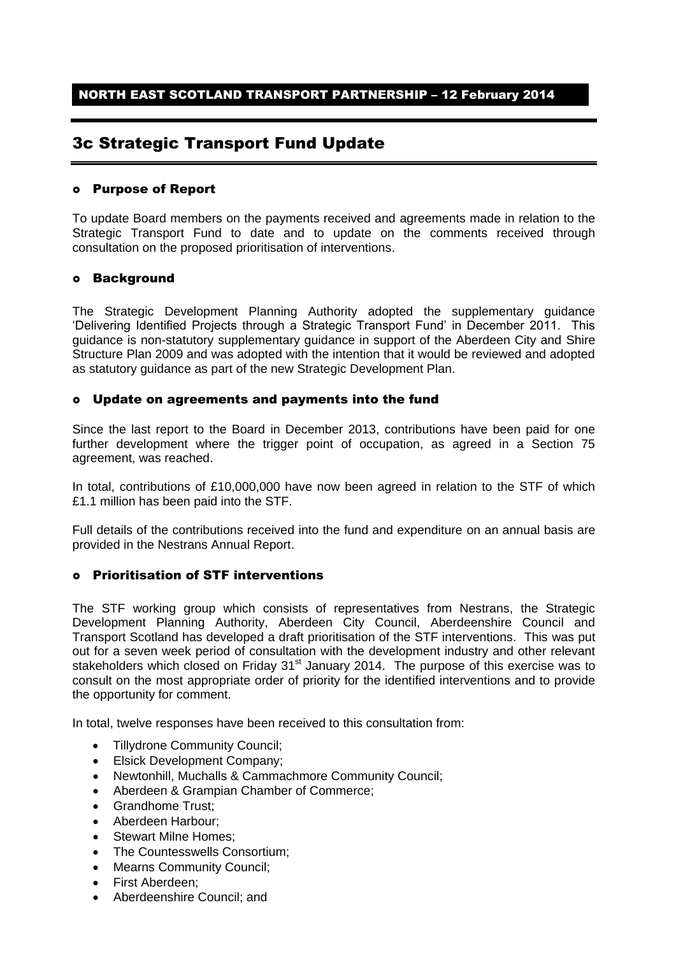# 3c Strategic Transport Fund Update

## Purpose of Report

To update Board members on the payments received and agreements made in relation to the Strategic Transport Fund to date and to update on the comments received through consultation on the proposed prioritisation of interventions.

## Background

The Strategic Development Planning Authority adopted the supplementary guidance 'Delivering Identified Projects through a Strategic Transport Fund' in December 2011. This guidance is non-statutory supplementary guidance in support of the Aberdeen City and Shire Structure Plan 2009 and was adopted with the intention that it would be reviewed and adopted as statutory guidance as part of the new Strategic Development Plan.

# Update on agreements and payments into the fund

Since the last report to the Board in December 2013, contributions have been paid for one further development where the trigger point of occupation, as agreed in a Section 75 agreement, was reached.

In total, contributions of £10,000,000 have now been agreed in relation to the STF of which £1.1 million has been paid into the STF.

Full details of the contributions received into the fund and expenditure on an annual basis are provided in the Nestrans Annual Report.

# Prioritisation of STF interventions

The STF working group which consists of representatives from Nestrans, the Strategic Development Planning Authority, Aberdeen City Council, Aberdeenshire Council and Transport Scotland has developed a draft prioritisation of the STF interventions. This was put out for a seven week period of consultation with the development industry and other relevant stakeholders which closed on Friday 31<sup>st</sup> January 2014. The purpose of this exercise was to consult on the most appropriate order of priority for the identified interventions and to provide the opportunity for comment.

In total, twelve responses have been received to this consultation from:

- Tillydrone Community Council;
- Elsick Development Company;
- Newtonhill, Muchalls & Cammachmore Community Council;
- Aberdeen & Grampian Chamber of Commerce;
- Grandhome Trust;
- Aberdeen Harbour:
- Stewart Milne Homes;
- The Countesswells Consortium;
- Mearns Community Council;
- First Aberdeen;
- Aberdeenshire Council; and